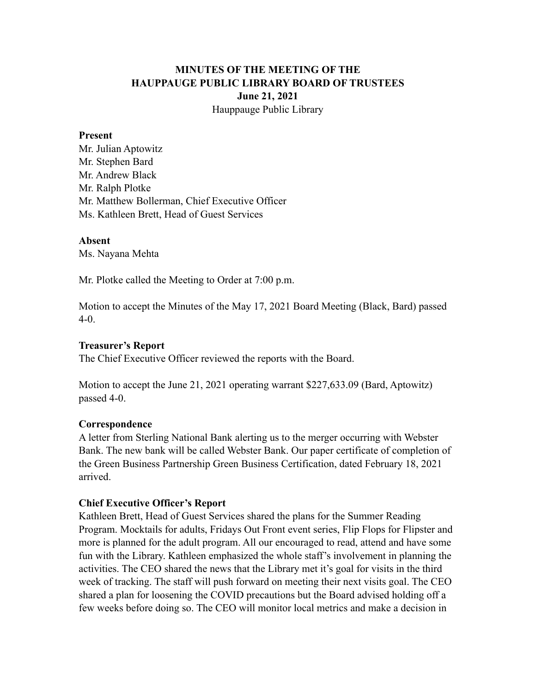# **MINUTES OF THE MEETING OF THE HAUPPAUGE PUBLIC LIBRARY BOARD OF TRUSTEES June 21, 2021** Hauppauge Public Library

#### **Present**

Mr. Julian Aptowitz Mr. Stephen Bard Mr. Andrew Black Mr. Ralph Plotke Mr. Matthew Bollerman, Chief Executive Officer Ms. Kathleen Brett, Head of Guest Services

#### **Absent**

Ms. Nayana Mehta

Mr. Plotke called the Meeting to Order at 7:00 p.m.

Motion to accept the Minutes of the May 17, 2021 Board Meeting (Black, Bard) passed 4-0.

### **Treasurer's Report**

The Chief Executive Officer reviewed the reports with the Board.

Motion to accept the June 21, 2021 operating warrant \$227,633.09 (Bard, Aptowitz) passed 4-0.

### **Correspondence**

A letter from Sterling National Bank alerting us to the merger occurring with Webster Bank. The new bank will be called Webster Bank. Our paper certificate of completion of the Green Business Partnership Green Business Certification, dated February 18, 2021 arrived.

### **Chief Executive Officer's Report**

Kathleen Brett, Head of Guest Services shared the plans for the Summer Reading Program. Mocktails for adults, Fridays Out Front event series, Flip Flops for Flipster and more is planned for the adult program. All our encouraged to read, attend and have some fun with the Library. Kathleen emphasized the whole staff's involvement in planning the activities. The CEO shared the news that the Library met it's goal for visits in the third week of tracking. The staff will push forward on meeting their next visits goal. The CEO shared a plan for loosening the COVID precautions but the Board advised holding off a few weeks before doing so. The CEO will monitor local metrics and make a decision in